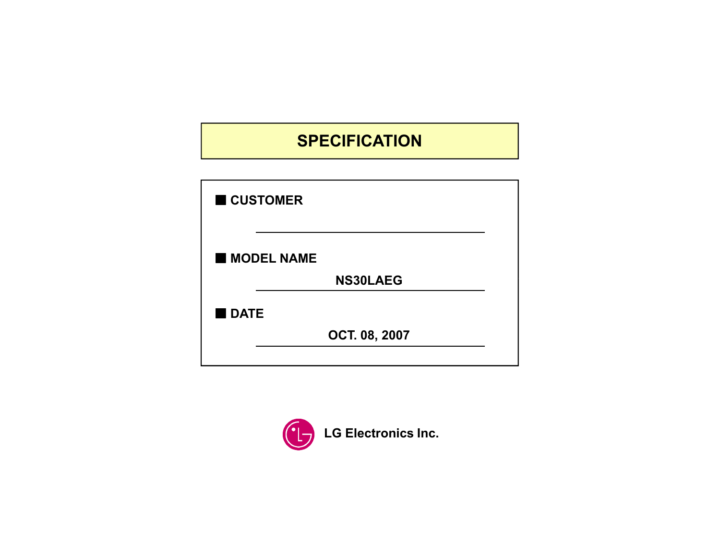# **SPECIFICATION**

| <b>CUSTOMER</b>   |  |
|-------------------|--|
| <b>MODEL NAME</b> |  |
| <b>NS30LAEG</b>   |  |
| <b>DATE</b>       |  |
| OCT. 08, 2007     |  |
|                   |  |

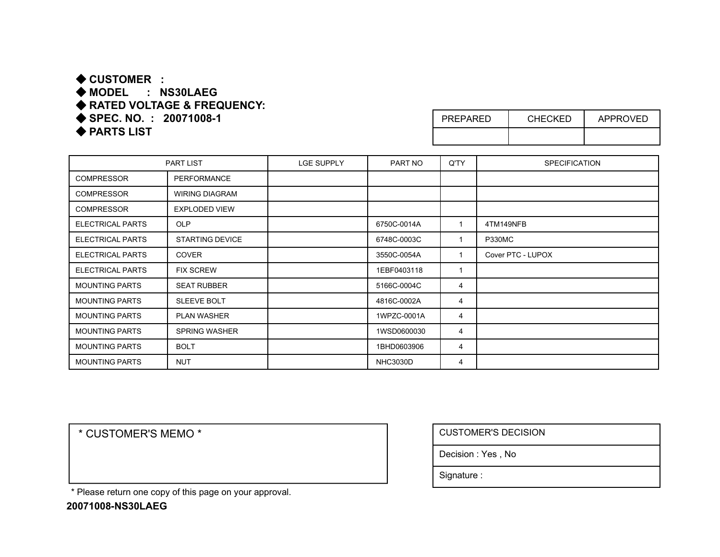## ◆ CUSTOMER :<br>◆ MODEL N ◆ MODEL : NS30LAEG ◆ MODEL : NS30LAEG<br>◆ RATED VOLTAGE & FREQUENCY:<br>◆ SPEC. NO : 20071008-1 ◆ SPEC. NO. : 20071008-1<br>▲ PARTS LIST ◆ PARTS LIST

PREPARED | CHECKED | APPROVED

|                         | <b>PART LIST</b>       | <b>LGE SUPPLY</b> | PART NO         | Q'TY | <b>SPECIFICATION</b> |
|-------------------------|------------------------|-------------------|-----------------|------|----------------------|
| <b>COMPRESSOR</b>       | <b>PERFORMANCE</b>     |                   |                 |      |                      |
| <b>COMPRESSOR</b>       | <b>WIRING DIAGRAM</b>  |                   |                 |      |                      |
| <b>COMPRESSOR</b>       | <b>EXPLODED VIEW</b>   |                   |                 |      |                      |
| <b>ELECTRICAL PARTS</b> | <b>OLP</b>             |                   | 6750C-0014A     |      | 4TM149NFB            |
| <b>ELECTRICAL PARTS</b> | <b>STARTING DEVICE</b> |                   | 6748C-0003C     |      | <b>P330MC</b>        |
| <b>ELECTRICAL PARTS</b> | <b>COVER</b>           |                   | 3550C-0054A     |      | Cover PTC - LUPOX    |
| <b>ELECTRICAL PARTS</b> | <b>FIX SCREW</b>       |                   | 1EBF0403118     |      |                      |
| <b>MOUNTING PARTS</b>   | <b>SEAT RUBBER</b>     |                   | 5166C-0004C     | 4    |                      |
| <b>MOUNTING PARTS</b>   | <b>SLEEVE BOLT</b>     |                   | 4816C-0002A     | 4    |                      |
| <b>MOUNTING PARTS</b>   | <b>PLAN WASHER</b>     |                   | 1WPZC-0001A     | 4    |                      |
| <b>MOUNTING PARTS</b>   | <b>SPRING WASHER</b>   |                   | 1WSD0600030     | 4    |                      |
| <b>MOUNTING PARTS</b>   | <b>BOLT</b>            |                   | 1BHD0603906     | 4    |                      |
| <b>MOUNTING PARTS</b>   | <b>NUT</b>             |                   | <b>NHC3030D</b> | 4    |                      |

\* CUSTOMER'S MEMO \*

CUSTOMER'S DECISION

Decision : Yes , No

Signature :

\* Please return one copy of this page on your approval.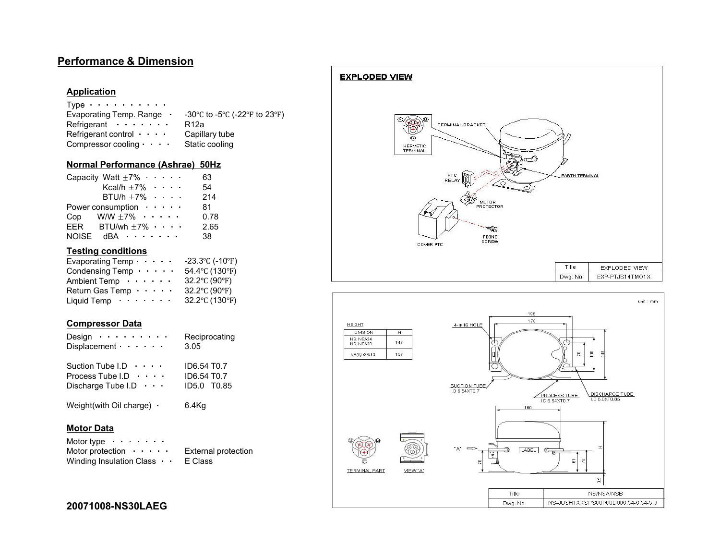## Performance & Dimension

#### **Application**

| Type $\cdots \cdots \cdots$          |                                                                        |
|--------------------------------------|------------------------------------------------------------------------|
| Evaporating Temp. Range<br>$\bullet$ | $-30^{\circ}$ C to $-5^{\circ}$ C ( $-22^{\circ}$ F to $23^{\circ}$ F) |
| Refrigerant $\cdots$                 | R <sub>12a</sub>                                                       |
| Refrigerant control $\cdots$         | Capillary tube                                                         |
| Compressor cooling $\cdots$          | Static cooling                                                         |

#### Normal Performance (Ashrae) 50Hz

| Capacity Watt $\pm 7\% \cdot \cdot \cdot \cdot$ | 63   |
|-------------------------------------------------|------|
| Kcal/h $\pm 7\%$ $\cdots$                       | 54   |
| BTU/h $\pm 7\%$ $\cdots$                        | 214  |
| Power consumption $\cdots \cdots$               | 81   |
| Cop W/W $\pm 7\%$ $\cdot \cdot \cdot \cdot$     | 0.78 |
| EER BTU/wh $\pm 7\% \cdot \cdot \cdot$          | 2.65 |
| NOISE $dBA \cdot \cdot \cdot \cdot \cdot \cdot$ | 38   |

#### Testing conditions

| Evaporating Temp $\cdots$ .  | $-23.3$ °C (-10°F)                 |
|------------------------------|------------------------------------|
| Condensing Temp $\cdots$ .   | 54.4°C (130°F)                     |
| Ambient Temp $\cdots \cdots$ | $32.2^{\circ}$ C (90 $^{\circ}$ F) |
| Return Gas Temp $\cdots$ .   | $32.2^{\circ}$ C (90 $^{\circ}$ F) |
| Liquid Temp $\cdots \cdots$  | 32.2°C (130°F)                     |
|                              |                                    |

#### Compressor Data

| Design $\cdots$                       | Reciprocating |
|---------------------------------------|---------------|
| Displacement $\cdots$                 | 3.05          |
| Suction Tube $ID \cdot \cdot \cdot$   | ID6.54 T0.7   |
| Process Tube I.D $\cdots$             | ID6.54 T0.7   |
| Discharge Tube $ID \cdot \cdot \cdot$ | ID5.0 T0.85   |

Weight(with Oil charge) •

#### **Motor Data**

| Motor type $\cdots \cdots$ |                            |
|----------------------------|----------------------------|
| Motor protection $\cdots$  | <b>External protection</b> |
| Winding Insulation Class   | E Class                    |

6.4Kg



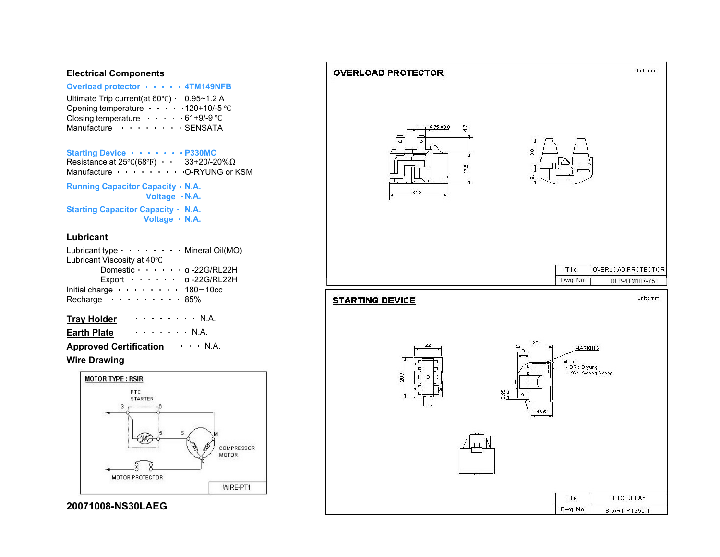#### Electrical Components

| Overload protector · · · · · 4TM149NFB                      |
|-------------------------------------------------------------|
| Ultimate Trip current(at $60^{\circ}$ C) $\cdot$ 0.95~1.2 A |
| Opening temperature · · · · · 120+10/-5 °C                  |
| Closing temperature $\cdots$ 61+9/-9 °C                     |
| Manufacture SENSATA                                         |

| Starting Device · · · · · · · P330MC<br>Resistance at $25^{\circ}C(68^{\circ}F) \cdot \cdot 33+20/-20\% \Omega$<br>Manufacture O-RYUNG or KSM |  |
|-----------------------------------------------------------------------------------------------------------------------------------------------|--|
| <b>Running Capacitor Capacity · N.A.</b><br>Voltage $\cdot$ N.A.                                                                              |  |
| <b>Starting Capacitor Capacity · N.A.</b>                                                                                                     |  |

Voltage · N.A.

#### **Lubricant**

| Lubricant type $\cdots \cdots \cdots$ Mineral Oil(MO) |  |
|-------------------------------------------------------|--|
| Lubricant Viscosity at 40°C                           |  |
| Domestic $\cdots \cdots \alpha$ -22G/RL22H            |  |
| Export $\cdots$ $\cdots$ a -22G/RL22H                 |  |
| Initial charge $\cdots \cdots \cdots 180 \pm 10$ cc   |  |
| Recharge 85%                                          |  |
| $\cdots$ N.A.<br><b>Tray Holder</b>                   |  |

#### Earth Plate ㆍㆍㆍㆍㆍㆍㆍ N.A. **Approved Certification**  $\cdot \cdot \cdot$  N.A.

#### **Wire Drawing**